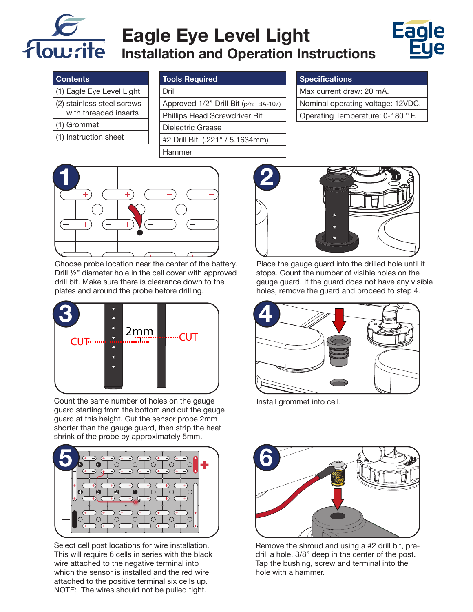

# **Eagle Eye Level Light Installation and Operation Instructions**



### **Contents**

- (1) Eagle Eye Level Light
- (2) stainless steel screws
- with threaded inserts
- (1) Grommet
- (1) Instruction sheet

| <b>Tools Required</b> |
|-----------------------|
|                       |

#### Drill

Approved 1/2" Drill Bit (p/n: BA-107) Phillips Head Screwdriver Bit Dielectric Grease #2 Drill Bit (.221" / 5.1634mm) Hammer

#### **Specifications**

| Max current draw: 20 mA.          |
|-----------------------------------|
| Nominal operating voltage: 12VDC. |
| Operating Temperature: 0-180 ° F. |



Choose probe location near the center of the battery. Drill ½" diameter hole in the cell cover with approved drill bit. Make sure there is clearance down to the plates and around the probe before drilling.



Count the same number of holes on the gauge guard starting from the bottom and cut the gauge guard at this height. Cut the sensor probe 2mm shorter than the gauge guard, then strip the heat shrink of the probe by approximately 5mm.



Select cell post locations for wire installation. This will require 6 cells in series with the black wire attached to the negative terminal into which the sensor is installed and the red wire attached to the positive terminal six cells up. NOTE: The wires should not be pulled tight.



Place the gauge guard into the drilled hole until it stops. Count the number of visible holes on the gauge guard. If the guard does not have any visible holes, remove the guard and proceed to step 4.



Install grommet into cell.



Remove the shroud and using a #2 drill bit, predrill a hole, 3/8" deep in the center of the post. Tap the bushing, screw and terminal into the hole with a hammer.